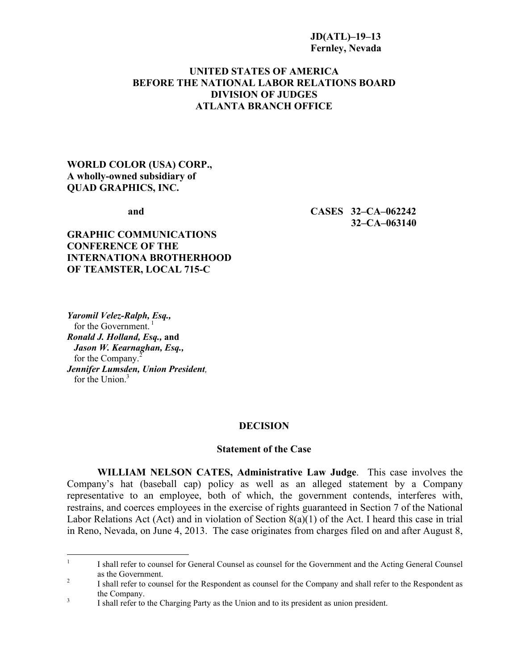#### **JD(ATL)–19–13 Fernley, Nevada**

## **UNITED STATES OF AMERICA BEFORE THE NATIONAL LABOR RELATIONS BOARD DIVISION OF JUDGES ATLANTA BRANCH OFFICE**

## **WORLD COLOR (USA) CORP., A wholly-owned subsidiary of QUAD GRAPHICS, INC.**

**and CASES 32–CA–062242 32–CA–063140**

## **GRAPHIC COMMUNICATIONS CONFERENCE OF THE INTERNATIONA BROTHERHOOD OF TEAMSTER, LOCAL 715-C**

*Yaromil Velez-Ralph, Esq.,* for the Government.<sup>[1](#page-0-0)</sup> *Ronald J. Holland, Esq.,* **and**   *Jason W. Kearnaghan, Esq.,* for the Company.<sup>[2](#page-0-1)</sup> *Jennifer Lumsden, Union President,* for the Union $3$ 

#### **DECISION**

#### **Statement of the Case**

**WILLIAM NELSON CATES, Administrative Law Judge**. This case involves the Company's hat (baseball cap) policy as well as an alleged statement by a Company representative to an employee, both of which, the government contends, interferes with, restrains, and coerces employees in the exercise of rights guaranteed in Section 7 of the National Labor Relations Act (Act) and in violation of Section 8(a)(1) of the Act. I heard this case in trial in Reno, Nevada, on June 4, 2013. The case originates from charges filed on and after August 8,

<span id="page-0-0"></span> $\frac{1}{1}$ I shall refer to counsel for General Counsel as counsel for the Government and the Acting General Counsel as the Government.

<span id="page-0-1"></span><sup>2</sup> I shall refer to counsel for the Respondent as counsel for the Company and shall refer to the Respondent as the Company.

<span id="page-0-2"></span><sup>3</sup> I shall refer to the Charging Party as the Union and to its president as union president.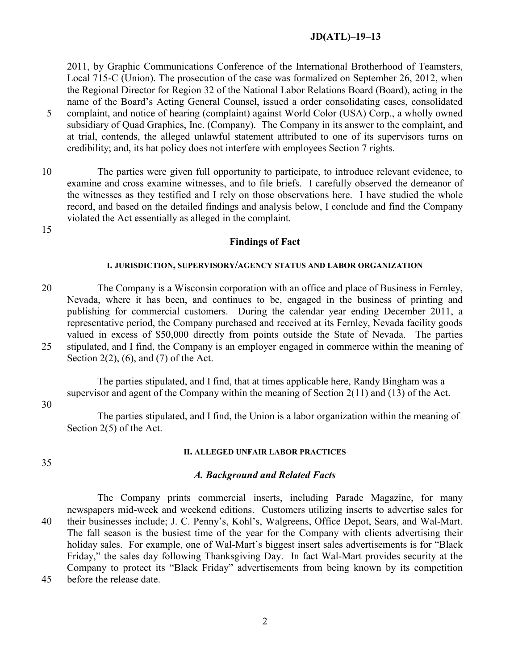2011, by Graphic Communications Conference of the International Brotherhood of Teamsters, Local 715-C (Union). The prosecution of the case was formalized on September 26, 2012, when the Regional Director for Region 32 of the National Labor Relations Board (Board), acting in the name of the Board's Acting General Counsel, issued a order consolidating cases, consolidated 5 complaint, and notice of hearing (complaint) against World Color (USA) Corp., a wholly owned subsidiary of Quad Graphics, Inc. (Company). The Company in its answer to the complaint, and at trial, contends, the alleged unlawful statement attributed to one of its supervisors turns on credibility; and, its hat policy does not interfere with employees Section 7 rights.

10 The parties were given full opportunity to participate, to introduce relevant evidence, to examine and cross examine witnesses, and to file briefs. I carefully observed the demeanor of the witnesses as they testified and I rely on those observations here. I have studied the whole record, and based on the detailed findings and analysis below, I conclude and find the Company violated the Act essentially as alleged in the complaint.

15

#### **Findings of Fact**

#### **I. JURISDICTION, SUPERVISORY/AGENCY STATUS AND LABOR ORGANIZATION**

20 The Company is a Wisconsin corporation with an office and place of Business in Fernley, Nevada, where it has been, and continues to be, engaged in the business of printing and publishing for commercial customers. During the calendar year ending December 2011, a representative period, the Company purchased and received at its Fernley, Nevada facility goods valued in excess of \$50,000 directly from points outside the State of Nevada. The parties 25 stipulated, and I find, the Company is an employer engaged in commerce within the meaning of Section 2(2), (6), and (7) of the Act.

The parties stipulated, and I find, that at times applicable here, Randy Bingham was a supervisor and agent of the Company within the meaning of Section 2(11) and (13) of the Act.

#### 30

The parties stipulated, and I find, the Union is a labor organization within the meaning of Section 2(5) of the Act.

#### 35

## **II. ALLEGED UNFAIR LABOR PRACTICES**

#### *A. Background and Related Facts*

The Company prints commercial inserts, including Parade Magazine, for many newspapers mid-week and weekend editions. Customers utilizing inserts to advertise sales for 40 their businesses include; J. C. Penny's, Kohl's, Walgreens, Office Depot, Sears, and Wal-Mart. The fall season is the busiest time of the year for the Company with clients advertising their holiday sales. For example, one of Wal-Mart's biggest insert sales advertisements is for "Black Friday," the sales day following Thanksgiving Day. In fact Wal-Mart provides security at the Company to protect its "Black Friday" advertisements from being known by its competition 45 before the release date.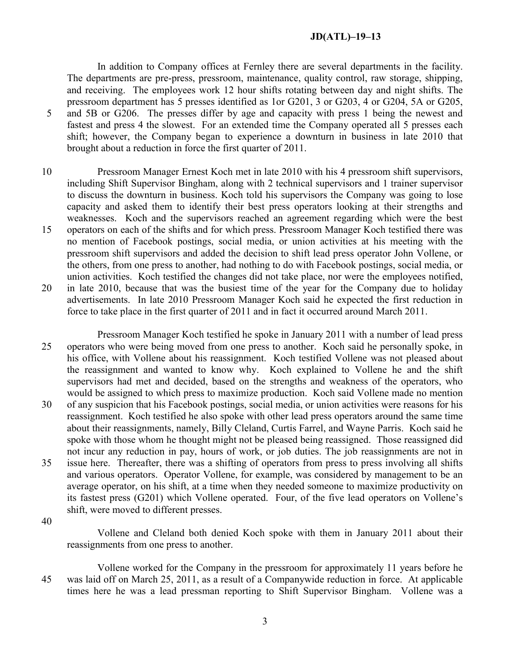In addition to Company offices at Fernley there are several departments in the facility. The departments are pre-press, pressroom, maintenance, quality control, raw storage, shipping, and receiving. The employees work 12 hour shifts rotating between day and night shifts. The pressroom department has 5 presses identified as 1or G201, 3 or G203, 4 or G204, 5A or G205, 5 and 5B or G206. The presses differ by age and capacity with press 1 being the newest and fastest and press 4 the slowest. For an extended time the Company operated all 5 presses each shift; however, the Company began to experience a downturn in business in late 2010 that brought about a reduction in force the first quarter of 2011.

- 10 Pressroom Manager Ernest Koch met in late 2010 with his 4 pressroom shift supervisors, including Shift Supervisor Bingham, along with 2 technical supervisors and 1 trainer supervisor to discuss the downturn in business. Koch told his supervisors the Company was going to lose capacity and asked them to identify their best press operators looking at their strengths and weaknesses. Koch and the supervisors reached an agreement regarding which were the best
- 15 operators on each of the shifts and for which press. Pressroom Manager Koch testified there was no mention of Facebook postings, social media, or union activities at his meeting with the pressroom shift supervisors and added the decision to shift lead press operator John Vollene, or the others, from one press to another, had nothing to do with Facebook postings, social media, or union activities. Koch testified the changes did not take place, nor were the employees notified,
- 20 in late 2010, because that was the busiest time of the year for the Company due to holiday advertisements. In late 2010 Pressroom Manager Koch said he expected the first reduction in force to take place in the first quarter of 2011 and in fact it occurred around March 2011.
- Pressroom Manager Koch testified he spoke in January 2011 with a number of lead press 25 operators who were being moved from one press to another. Koch said he personally spoke, in his office, with Vollene about his reassignment. Koch testified Vollene was not pleased about the reassignment and wanted to know why. Koch explained to Vollene he and the shift supervisors had met and decided, based on the strengths and weakness of the operators, who would be assigned to which press to maximize production. Koch said Vollene made no mention 30 of any suspicion that his Facebook postings, social media, or union activities were reasons for his reassignment. Koch testified he also spoke with other lead press operators around the same time about their reassignments, namely, Billy Cleland, Curtis Farrel, and Wayne Parris. Koch said he spoke with those whom he thought might not be pleased being reassigned. Those reassigned did not incur any reduction in pay, hours of work, or job duties. The job reassignments are not in 35 issue here. Thereafter, there was a shifting of operators from press to press involving all shifts and various operators. Operator Vollene, for example, was considered by management to be an average operator, on his shift, at a time when they needed someone to maximize productivity on its fastest press (G201) which Vollene operated. Four, of the five lead operators on Vollene's shift, were moved to different presses.

40

Vollene and Cleland both denied Koch spoke with them in January 2011 about their reassignments from one press to another.

Vollene worked for the Company in the pressroom for approximately 11 years before he 45 was laid off on March 25, 2011, as a result of a Companywide reduction in force. At applicable times here he was a lead pressman reporting to Shift Supervisor Bingham. Vollene was a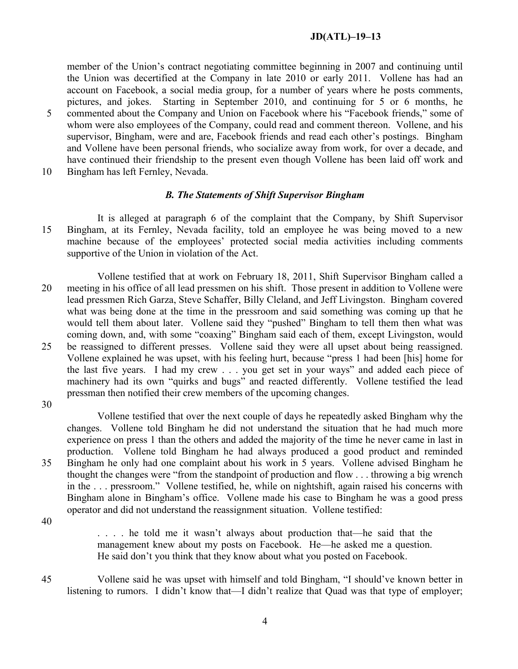member of the Union's contract negotiating committee beginning in 2007 and continuing until the Union was decertified at the Company in late 2010 or early 2011. Vollene has had an account on Facebook, a social media group, for a number of years where he posts comments, pictures, and jokes. Starting in September 2010, and continuing for 5 or 6 months, he 5 commented about the Company and Union on Facebook where his "Facebook friends," some of whom were also employees of the Company, could read and comment thereon. Vollene, and his supervisor, Bingham, were and are, Facebook friends and read each other's postings. Bingham and Vollene have been personal friends, who socialize away from work, for over a decade, and have continued their friendship to the present even though Vollene has been laid off work and

10 Bingham has left Fernley, Nevada.

## *B. The Statements of Shift Supervisor Bingham*

It is alleged at paragraph 6 of the complaint that the Company, by Shift Supervisor 15 Bingham, at its Fernley, Nevada facility, told an employee he was being moved to a new machine because of the employees' protected social media activities including comments supportive of the Union in violation of the Act.

Vollene testified that at work on February 18, 2011, Shift Supervisor Bingham called a 20 meeting in his office of all lead pressmen on his shift. Those present in addition to Vollene were lead pressmen Rich Garza, Steve Schaffer, Billy Cleland, and Jeff Livingston. Bingham covered what was being done at the time in the pressroom and said something was coming up that he would tell them about later. Vollene said they "pushed" Bingham to tell them then what was coming down, and, with some "coaxing" Bingham said each of them, except Livingston, would 25 be reassigned to different presses. Vollene said they were all upset about being reassigned. Vollene explained he was upset, with his feeling hurt, because "press 1 had been [his] home for the last five years. I had my crew . . . you get set in your ways" and added each piece of machinery had its own "quirks and bugs" and reacted differently. Vollene testified the lead pressman then notified their crew members of the upcoming changes.

30

Vollene testified that over the next couple of days he repeatedly asked Bingham why the changes. Vollene told Bingham he did not understand the situation that he had much more experience on press 1 than the others and added the majority of the time he never came in last in production. Vollene told Bingham he had always produced a good product and reminded 35 Bingham he only had one complaint about his work in 5 years. Vollene advised Bingham he thought the changes were "from the standpoint of production and flow . . . throwing a big wrench in the . . . pressroom." Vollene testified, he, while on nightshift, again raised his concerns with Bingham alone in Bingham's office. Vollene made his case to Bingham he was a good press operator and did not understand the reassignment situation. Vollene testified:

40

. . . . he told me it wasn't always about production that—he said that the management knew about my posts on Facebook. He—he asked me a question. He said don't you think that they know about what you posted on Facebook.

45 Vollene said he was upset with himself and told Bingham, "I should've known better in listening to rumors. I didn't know that—I didn't realize that Quad was that type of employer;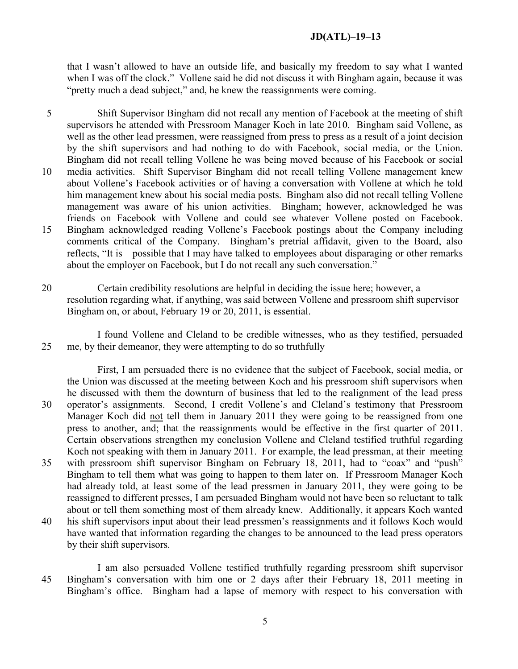that I wasn't allowed to have an outside life, and basically my freedom to say what I wanted when I was off the clock." Vollene said he did not discuss it with Bingham again, because it was "pretty much a dead subject," and, he knew the reassignments were coming.

- 5 Shift Supervisor Bingham did not recall any mention of Facebook at the meeting of shift supervisors he attended with Pressroom Manager Koch in late 2010. Bingham said Vollene, as well as the other lead pressmen, were reassigned from press to press as a result of a joint decision by the shift supervisors and had nothing to do with Facebook, social media, or the Union. Bingham did not recall telling Vollene he was being moved because of his Facebook or social 10 media activities. Shift Supervisor Bingham did not recall telling Vollene management knew about Vollene's Facebook activities or of having a conversation with Vollene at which he told him management knew about his social media posts. Bingham also did not recall telling Vollene management was aware of his union activities. Bingham; however, acknowledged he was friends on Facebook with Vollene and could see whatever Vollene posted on Facebook. 15 Bingham acknowledged reading Vollene's Facebook postings about the Company including comments critical of the Company. Bingham's pretrial affidavit, given to the Board, also reflects, "It is—possible that I may have talked to employees about disparaging or other remarks about the employer on Facebook, but I do not recall any such conversation."
- 20 Certain credibility resolutions are helpful in deciding the issue here; however, a resolution regarding what, if anything, was said between Vollene and pressroom shift supervisor Bingham on, or about, February 19 or 20, 2011, is essential.

I found Vollene and Cleland to be credible witnesses, who as they testified, persuaded 25 me, by their demeanor, they were attempting to do so truthfully

First, I am persuaded there is no evidence that the subject of Facebook, social media, or the Union was discussed at the meeting between Koch and his pressroom shift supervisors when he discussed with them the downturn of business that led to the realignment of the lead press 30 operator's assignments. Second, I credit Vollene's and Cleland's testimony that Pressroom Manager Koch did not tell them in January 2011 they were going to be reassigned from one press to another, and; that the reassignments would be effective in the first quarter of 2011. Certain observations strengthen my conclusion Vollene and Cleland testified truthful regarding Koch not speaking with them in January 2011. For example, the lead pressman, at their meeting 35 with pressroom shift supervisor Bingham on February 18, 2011, had to "coax" and "push" Bingham to tell them what was going to happen to them later on. If Pressroom Manager Koch had already told, at least some of the lead pressmen in January 2011, they were going to be

- reassigned to different presses, I am persuaded Bingham would not have been so reluctant to talk about or tell them something most of them already knew. Additionally, it appears Koch wanted 40 his shift supervisors input about their lead pressmen's reassignments and it follows Koch would have wanted that information regarding the changes to be announced to the lead press operators by their shift supervisors.
- I am also persuaded Vollene testified truthfully regarding pressroom shift supervisor 45 Bingham's conversation with him one or 2 days after their February 18, 2011 meeting in Bingham's office. Bingham had a lapse of memory with respect to his conversation with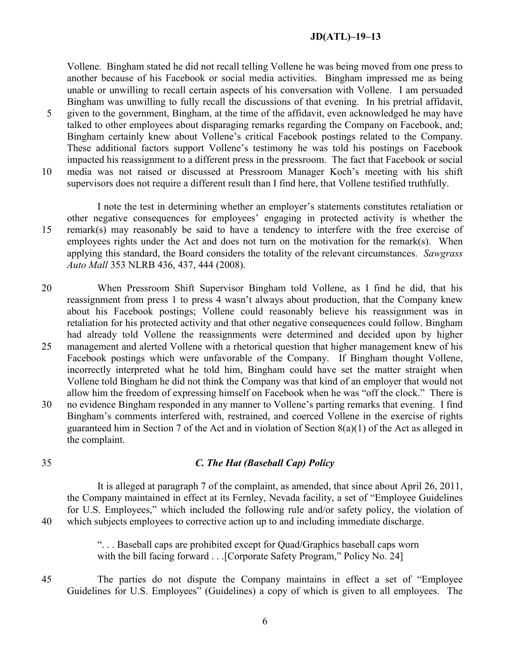Vollene. Bingham stated he did not recall telling Vollene he was being moved from one press to another because of his Facebook or social media activities. Bingham impressed me as being unable or unwilling to recall certain aspects of his conversation with Vollene. I am persuaded Bingham was unwilling to fully recall the discussions of that evening. In his pretrial affidavit,

- 5 given to the government, Bingham, at the time of the affidavit, even acknowledged he may have talked to other employees about disparaging remarks regarding the Company on Facebook, and; Bingham certainly knew about Vollene's critical Facebook postings related to the Company. These additional factors support Vollene's testimony he was told his postings on Facebook impacted his reassignment to a different press in the pressroom. The fact that Facebook or social 10 media was not raised or discussed at Pressroom Manager Koch's meeting with his shift
- supervisors does not require a different result than I find here, that Vollene testified truthfully.

I note the test in determining whether an employer's statements constitutes retaliation or other negative consequences for employees' engaging in protected activity is whether the 15 remark(s) may reasonably be said to have a tendency to interfere with the free exercise of employees rights under the Act and does not turn on the motivation for the remark(s). When applying this standard, the Board considers the totality of the relevant circumstances. *Sawgrass Auto Mall* 353 NLRB 436, 437, 444 (2008).

- 20 When Pressroom Shift Supervisor Bingham told Vollene, as I find he did, that his reassignment from press 1 to press 4 wasn't always about production, that the Company knew about his Facebook postings; Vollene could reasonably believe his reassignment was in retaliation for his protected activity and that other negative consequences could follow. Bingham had already told Vollene the reassignments were determined and decided upon by higher 25 management and alerted Vollene with a rhetorical question that higher management knew of his
- Facebook postings which were unfavorable of the Company. If Bingham thought Vollene, incorrectly interpreted what he told him, Bingham could have set the matter straight when Vollene told Bingham he did not think the Company was that kind of an employer that would not allow him the freedom of expressing himself on Facebook when he was "off the clock." There is
- 30 no evidence Bingham responded in any manner to Vollene's parting remarks that evening. I find Bingham's comments interfered with, restrained, and coerced Vollene in the exercise of rights guaranteed him in Section 7 of the Act and in violation of Section 8(a)(1) of the Act as alleged in the complaint.
- 

## 35 *C. The Hat (Baseball Cap) Policy*

It is alleged at paragraph 7 of the complaint, as amended, that since about April 26, 2011, the Company maintained in effect at its Fernley, Nevada facility, a set of "Employee Guidelines for U.S. Employees," which included the following rule and/or safety policy, the violation of 40 which subjects employees to corrective action up to and including immediate discharge.

> ". . . Baseball caps are prohibited except for Quad/Graphics baseball caps worn with the bill facing forward . . . [Corporate Safety Program," Policy No. 24]

45 The parties do not dispute the Company maintains in effect a set of "Employee Guidelines for U.S. Employees" (Guidelines) a copy of which is given to all employees. The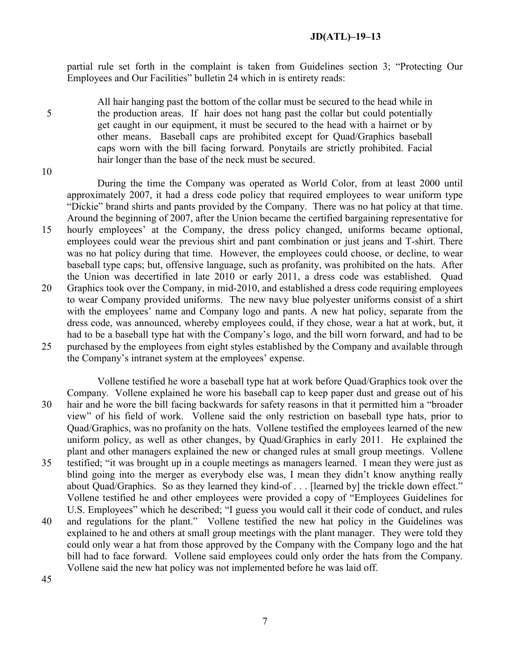partial rule set forth in the complaint is taken from Guidelines section 3; "Protecting Our Employees and Our Facilities" bulletin 24 which in is entirety reads:

All hair hanging past the bottom of the collar must be secured to the head while in 5 the production areas. If hair does not hang past the collar but could potentially get caught in our equipment, it must be secured to the head with a hairnet or by other means. Baseball caps are prohibited except for Quad/Graphics baseball caps worn with the bill facing forward. Ponytails are strictly prohibited. Facial hair longer than the base of the neck must be secured.

10

During the time the Company was operated as World Color, from at least 2000 until approximately 2007, it had a dress code policy that required employees to wear uniform type "Dickie" brand shirts and pants provided by the Company. There was no hat policy at that time. Around the beginning of 2007, after the Union became the certified bargaining representative for 15 hourly employees' at the Company, the dress policy changed, uniforms became optional, employees could wear the previous shirt and pant combination or just jeans and T-shirt. There was no hat policy during that time. However, the employees could choose, or decline, to wear baseball type caps; but, offensive language, such as profanity, was prohibited on the hats. After the Union was decertified in late 2010 or early 2011, a dress code was established. Quad 20 Graphics took over the Company, in mid-2010, and established a dress code requiring employees to wear Company provided uniforms. The new navy blue polyester uniforms consist of a shirt with the employees' name and Company logo and pants. A new hat policy, separate from the dress code, was announced, whereby employees could, if they chose, wear a hat at work, but, it had to be a baseball type hat with the Company's logo, and the bill worn forward, and had to be 25 purchased by the employees from eight styles established by the Company and available through the Company's intranet system at the employees' expense.

Vollene testified he wore a baseball type hat at work before Quad/Graphics took over the Company. Vollene explained he wore his baseball cap to keep paper dust and grease out of his 30 hair and he wore the bill facing backwards for safety reasons in that it permitted him a "broader view" of his field of work. Vollene said the only restriction on baseball type hats, prior to Quad/Graphics, was no profanity on the hats. Vollene testified the employees learned of the new uniform policy, as well as other changes, by Quad/Graphics in early 2011. He explained the plant and other managers explained the new or changed rules at small group meetings. Vollene 35 testified; "it was brought up in a couple meetings as managers learned. I mean they were just as blind going into the merger as everybody else was, I mean they didn't know anything really about Quad/Graphics. So as they learned they kind-of . . . [learned by] the trickle down effect." Vollene testified he and other employees were provided a copy of "Employees Guidelines for U.S. Employees" which he described; "I guess you would call it their code of conduct, and rules

40 and regulations for the plant." Vollene testified the new hat policy in the Guidelines was explained to he and others at small group meetings with the plant manager. They were told they could only wear a hat from those approved by the Company with the Company logo and the hat bill had to face forward. Vollene said employees could only order the hats from the Company. Vollene said the new hat policy was not implemented before he was laid off.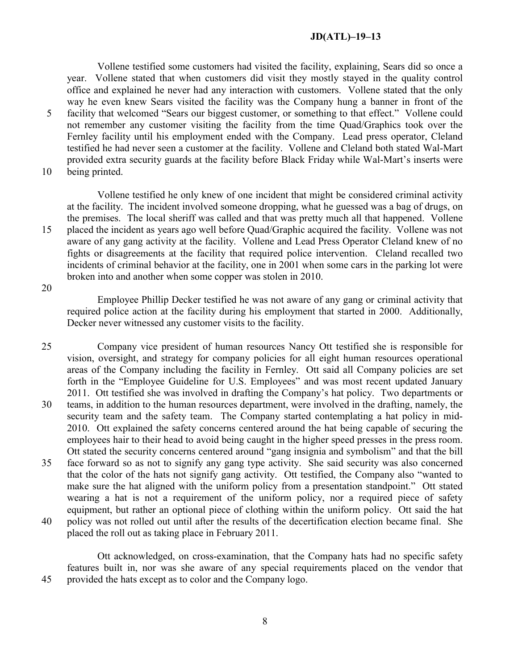Vollene testified some customers had visited the facility, explaining, Sears did so once a year. Vollene stated that when customers did visit they mostly stayed in the quality control office and explained he never had any interaction with customers. Vollene stated that the only way he even knew Sears visited the facility was the Company hung a banner in front of the 5 facility that welcomed "Sears our biggest customer, or something to that effect." Vollene could not remember any customer visiting the facility from the time Quad/Graphics took over the Fernley facility until his employment ended with the Company. Lead press operator, Cleland testified he had never seen a customer at the facility. Vollene and Cleland both stated Wal-Mart provided extra security guards at the facility before Black Friday while Wal-Mart's inserts were

10 being printed.

Vollene testified he only knew of one incident that might be considered criminal activity at the facility. The incident involved someone dropping, what he guessed was a bag of drugs, on the premises. The local sheriff was called and that was pretty much all that happened. Vollene 15 placed the incident as years ago well before Quad/Graphic acquired the facility. Vollene was not aware of any gang activity at the facility. Vollene and Lead Press Operator Cleland knew of no fights or disagreements at the facility that required police intervention. Cleland recalled two incidents of criminal behavior at the facility, one in 2001 when some cars in the parking lot were broken into and another when some copper was stolen in 2010.

20

Employee Phillip Decker testified he was not aware of any gang or criminal activity that required police action at the facility during his employment that started in 2000. Additionally, Decker never witnessed any customer visits to the facility.

25 Company vice president of human resources Nancy Ott testified she is responsible for vision, oversight, and strategy for company policies for all eight human resources operational areas of the Company including the facility in Fernley. Ott said all Company policies are set forth in the "Employee Guideline for U.S. Employees" and was most recent updated January 2011. Ott testified she was involved in drafting the Company's hat policy. Two departments or 30 teams, in addition to the human resources department, were involved in the drafting, namely, the security team and the safety team. The Company started contemplating a hat policy in mid-2010. Ott explained the safety concerns centered around the hat being capable of securing the employees hair to their head to avoid being caught in the higher speed presses in the press room. Ott stated the security concerns centered around "gang insignia and symbolism" and that the bill 35 face forward so as not to signify any gang type activity. She said security was also concerned that the color of the hats not signify gang activity. Ott testified, the Company also "wanted to make sure the hat aligned with the uniform policy from a presentation standpoint." Ott stated wearing a hat is not a requirement of the uniform policy, nor a required piece of safety equipment, but rather an optional piece of clothing within the uniform policy. Ott said the hat 40 policy was not rolled out until after the results of the decertification election became final. She placed the roll out as taking place in February 2011.

Ott acknowledged, on cross-examination, that the Company hats had no specific safety features built in, nor was she aware of any special requirements placed on the vendor that 45 provided the hats except as to color and the Company logo.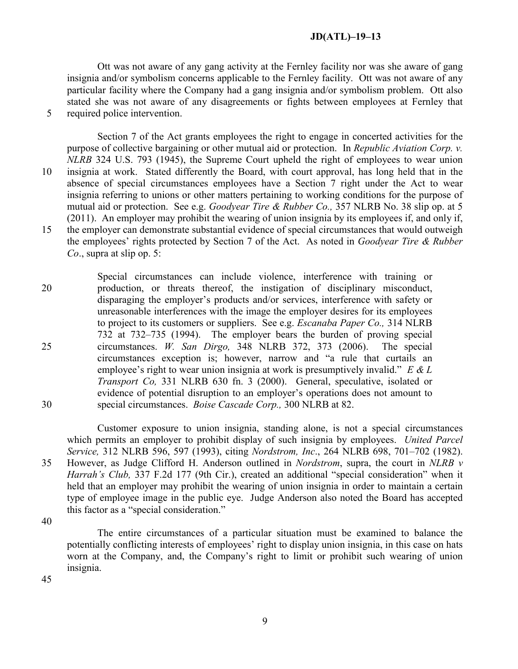Ott was not aware of any gang activity at the Fernley facility nor was she aware of gang insignia and/or symbolism concerns applicable to the Fernley facility. Ott was not aware of any particular facility where the Company had a gang insignia and/or symbolism problem. Ott also stated she was not aware of any disagreements or fights between employees at Fernley that 5 required police intervention.

Section 7 of the Act grants employees the right to engage in concerted activities for the purpose of collective bargaining or other mutual aid or protection. In *Republic Aviation Corp. v. NLRB* 324 U.S. 793 (1945), the Supreme Court upheld the right of employees to wear union 10 insignia at work. Stated differently the Board, with court approval, has long held that in the absence of special circumstances employees have a Section 7 right under the Act to wear insignia referring to unions or other matters pertaining to working conditions for the purpose of mutual aid or protection. See e.g. *Goodyear Tire & Rubber Co.,* 357 NLRB No. 38 slip op. at 5 (2011). An employer may prohibit the wearing of union insignia by its employees if, and only if, 15 the employer can demonstrate substantial evidence of special circumstances that would outweigh the employees' rights protected by Section 7 of the Act. As noted in *Goodyear Tire & Rubber Co*., supra at slip op. 5:

Special circumstances can include violence, interference with training or 20 production, or threats thereof, the instigation of disciplinary misconduct, disparaging the employer's products and/or services, interference with safety or unreasonable interferences with the image the employer desires for its employees to project to its customers or suppliers. See e.g. *Escanaba Paper Co.,* 314 NLRB 732 at 732–735 (1994). The employer bears the burden of proving special 25 circumstances. *W. San Dirgo,* 348 NLRB 372, 373 (2006). The special circumstances exception is; however, narrow and "a rule that curtails an employee's right to wear union insignia at work is presumptively invalid." *E & L Transport Co,* 331 NLRB 630 fn. 3 (2000). General, speculative, isolated or evidence of potential disruption to an employer's operations does not amount to 30 special circumstances. *Boise Cascade Corp.,* 300 NLRB at 82.

Customer exposure to union insignia, standing alone, is not a special circumstances which permits an employer to prohibit display of such insignia by employees. *United Parcel Service,* 312 NLRB 596, 597 (1993), citing *Nordstrom, Inc*., 264 NLRB 698, 701–702 (1982). 35 However, as Judge Clifford H. Anderson outlined in *Nordstrom*, supra, the court in *NLRB v Harrah's Club,* 337 F.2d 177 (9th Cir.), created an additional "special consideration" when it held that an employer may prohibit the wearing of union insignia in order to maintain a certain type of employee image in the public eye. Judge Anderson also noted the Board has accepted this factor as a "special consideration."

40

The entire circumstances of a particular situation must be examined to balance the potentially conflicting interests of employees' right to display union insignia, in this case on hats worn at the Company, and, the Company's right to limit or prohibit such wearing of union insignia.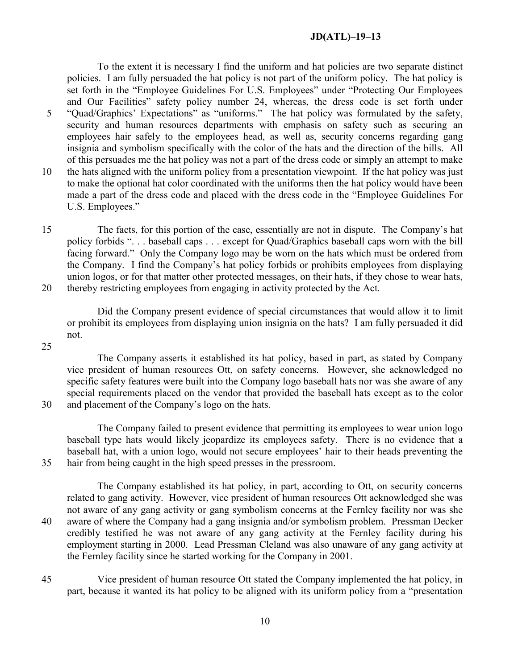To the extent it is necessary I find the uniform and hat policies are two separate distinct policies. I am fully persuaded the hat policy is not part of the uniform policy. The hat policy is set forth in the "Employee Guidelines For U.S. Employees" under "Protecting Our Employees and Our Facilities" safety policy number 24, whereas, the dress code is set forth under 5 "Quad/Graphics' Expectations" as "uniforms." The hat policy was formulated by the safety, security and human resources departments with emphasis on safety such as securing an employees hair safely to the employees head, as well as, security concerns regarding gang insignia and symbolism specifically with the color of the hats and the direction of the bills. All of this persuades me the hat policy was not a part of the dress code or simply an attempt to make 10 the hats aligned with the uniform policy from a presentation viewpoint. If the hat policy was just to make the optional hat color coordinated with the uniforms then the hat policy would have been made a part of the dress code and placed with the dress code in the "Employee Guidelines For U.S. Employees."

15 The facts, for this portion of the case, essentially are not in dispute. The Company's hat policy forbids ". . . baseball caps . . . except for Quad/Graphics baseball caps worn with the bill facing forward." Only the Company logo may be worn on the hats which must be ordered from the Company. I find the Company's hat policy forbids or prohibits employees from displaying union logos, or for that matter other protected messages, on their hats, if they chose to wear hats, 20 thereby restricting employees from engaging in activity protected by the Act.

Did the Company present evidence of special circumstances that would allow it to limit or prohibit its employees from displaying union insignia on the hats? I am fully persuaded it did not.

25

The Company asserts it established its hat policy, based in part, as stated by Company vice president of human resources Ott, on safety concerns. However, she acknowledged no specific safety features were built into the Company logo baseball hats nor was she aware of any special requirements placed on the vendor that provided the baseball hats except as to the color 30 and placement of the Company's logo on the hats.

The Company failed to present evidence that permitting its employees to wear union logo baseball type hats would likely jeopardize its employees safety. There is no evidence that a baseball hat, with a union logo, would not secure employees' hair to their heads preventing the 35 hair from being caught in the high speed presses in the pressroom.

The Company established its hat policy, in part, according to Ott, on security concerns related to gang activity. However, vice president of human resources Ott acknowledged she was not aware of any gang activity or gang symbolism concerns at the Fernley facility nor was she 40 aware of where the Company had a gang insignia and/or symbolism problem. Pressman Decker credibly testified he was not aware of any gang activity at the Fernley facility during his employment starting in 2000. Lead Pressman Cleland was also unaware of any gang activity at the Fernley facility since he started working for the Company in 2001.

45 Vice president of human resource Ott stated the Company implemented the hat policy, in part, because it wanted its hat policy to be aligned with its uniform policy from a "presentation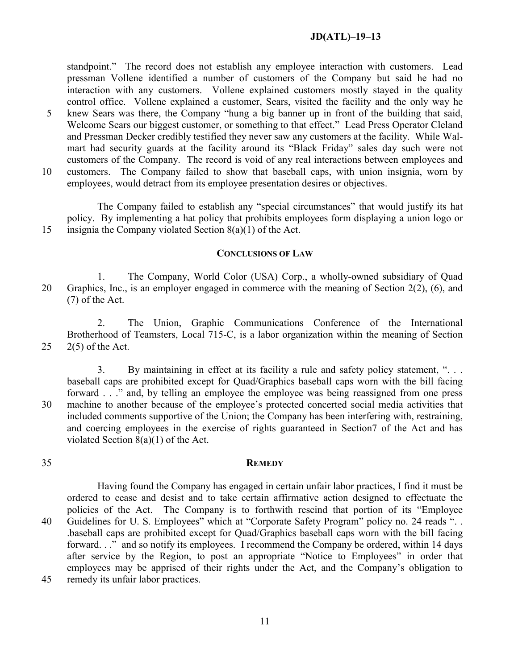standpoint." The record does not establish any employee interaction with customers. Lead pressman Vollene identified a number of customers of the Company but said he had no interaction with any customers. Vollene explained customers mostly stayed in the quality control office. Vollene explained a customer, Sears, visited the facility and the only way he 5 knew Sears was there, the Company "hung a big banner up in front of the building that said, Welcome Sears our biggest customer, or something to that effect." Lead Press Operator Cleland and Pressman Decker credibly testified they never saw any customers at the facility. While Walmart had security guards at the facility around its "Black Friday" sales day such were not customers of the Company. The record is void of any real interactions between employees and 10 customers. The Company failed to show that baseball caps, with union insignia, worn by employees, would detract from its employee presentation desires or objectives.

The Company failed to establish any "special circumstances" that would justify its hat policy. By implementing a hat policy that prohibits employees form displaying a union logo or 15 insignia the Company violated Section 8(a)(1) of the Act.

#### **CONCLUSIONS OF LAW**

1. The Company, World Color (USA) Corp., a wholly-owned subsidiary of Quad 20 Graphics, Inc., is an employer engaged in commerce with the meaning of Section 2(2), (6), and (7) of the Act.

2. The Union, Graphic Communications Conference of the International Brotherhood of Teamsters, Local 715-C, is a labor organization within the meaning of Section 25 2(5) of the Act.

3. By maintaining in effect at its facility a rule and safety policy statement, ". . . baseball caps are prohibited except for Quad/Graphics baseball caps worn with the bill facing forward . . ." and, by telling an employee the employee was being reassigned from one press 30 machine to another because of the employee's protected concerted social media activities that included comments supportive of the Union; the Company has been interfering with, restraining, and coercing employees in the exercise of rights guaranteed in Section7 of the Act and has violated Section 8(a)(1) of the Act.

#### 35 **REMEDY**

Having found the Company has engaged in certain unfair labor practices, I find it must be ordered to cease and desist and to take certain affirmative action designed to effectuate the policies of the Act. The Company is to forthwith rescind that portion of its "Employee 40 Guidelines for U. S. Employees" which at "Corporate Safety Program" policy no. 24 reads ". . .baseball caps are prohibited except for Quad/Graphics baseball caps worn with the bill facing forward. . ." and so notify its employees. I recommend the Company be ordered, within 14 days after service by the Region, to post an appropriate "Notice to Employees" in order that employees may be apprised of their rights under the Act, and the Company's obligation to 45 remedy its unfair labor practices.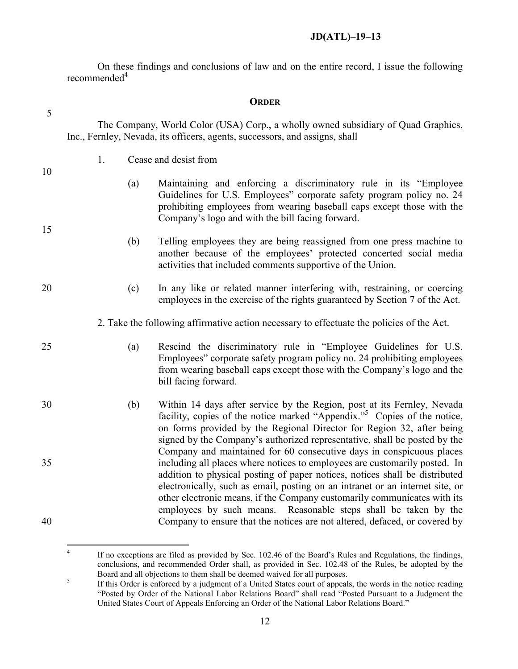On these findings and conclusions of law and on the entire record, I issue the following recommended<sup>[4](#page-11-0)</sup>

| DRDER) |
|--------|
|--------|

The Company, World Color (USA) Corp., a wholly owned subsidiary of Quad Graphics,

5

| Inc., Fernley, Nevada, its officers, agents, successors, and assigns, shall |   |                                                                                                                                                                                                                                                                                                                                                                                                                                                                         |                                                                                                                                                                                                                                                                                                                                                                                               |  |  |
|-----------------------------------------------------------------------------|---|-------------------------------------------------------------------------------------------------------------------------------------------------------------------------------------------------------------------------------------------------------------------------------------------------------------------------------------------------------------------------------------------------------------------------------------------------------------------------|-----------------------------------------------------------------------------------------------------------------------------------------------------------------------------------------------------------------------------------------------------------------------------------------------------------------------------------------------------------------------------------------------|--|--|
|                                                                             |   | 1.                                                                                                                                                                                                                                                                                                                                                                                                                                                                      | Cease and desist from                                                                                                                                                                                                                                                                                                                                                                         |  |  |
| 10                                                                          |   | (a)                                                                                                                                                                                                                                                                                                                                                                                                                                                                     | Maintaining and enforcing a discriminatory rule in its "Employee"<br>Guidelines for U.S. Employees" corporate safety program policy no. 24<br>prohibiting employees from wearing baseball caps except those with the<br>Company's logo and with the bill facing forward.                                                                                                                      |  |  |
| 15                                                                          |   | (b)                                                                                                                                                                                                                                                                                                                                                                                                                                                                     | Telling employees they are being reassigned from one press machine to<br>another because of the employees' protected concerted social media<br>activities that included comments supportive of the Union.                                                                                                                                                                                     |  |  |
| 20                                                                          |   | (c)                                                                                                                                                                                                                                                                                                                                                                                                                                                                     | In any like or related manner interfering with, restraining, or coercing<br>employees in the exercise of the rights guaranteed by Section 7 of the Act.                                                                                                                                                                                                                                       |  |  |
|                                                                             |   |                                                                                                                                                                                                                                                                                                                                                                                                                                                                         | 2. Take the following affirmative action necessary to effectuate the policies of the Act.                                                                                                                                                                                                                                                                                                     |  |  |
| 25                                                                          |   | (a)                                                                                                                                                                                                                                                                                                                                                                                                                                                                     | Rescind the discriminatory rule in "Employee Guidelines for U.S.<br>Employees" corporate safety program policy no. 24 prohibiting employees<br>from wearing baseball caps except those with the Company's logo and the<br>bill facing forward.                                                                                                                                                |  |  |
| 30                                                                          |   | (b)                                                                                                                                                                                                                                                                                                                                                                                                                                                                     | Within 14 days after service by the Region, post at its Fernley, Nevada<br>facility, copies of the notice marked "Appendix." <sup>5</sup> Copies of the notice,<br>on forms provided by the Regional Director for Region 32, after being<br>signed by the Company's authorized representative, shall be posted by the<br>Company and maintained for 60 consecutive days in conspicuous places |  |  |
| 35<br>40                                                                    |   | including all places where notices to employees are customarily posted. In<br>addition to physical posting of paper notices, notices shall be distributed<br>electronically, such as email, posting on an intranet or an internet site, or<br>other electronic means, if the Company customarily communicates with its<br>employees by such means. Reasonable steps shall be taken by the<br>Company to ensure that the notices are not altered, defaced, or covered by |                                                                                                                                                                                                                                                                                                                                                                                               |  |  |
|                                                                             | 4 |                                                                                                                                                                                                                                                                                                                                                                                                                                                                         |                                                                                                                                                                                                                                                                                                                                                                                               |  |  |
|                                                                             |   |                                                                                                                                                                                                                                                                                                                                                                                                                                                                         | If no exceptions are filed as provided by Sec. 102.46 of the Board's Rules and Regulations, the findings,<br>conclusions, and recommended Order shall, as provided in Sec. 102.48 of the Rules, be adopted by the<br>Board and all objections to them shall be deemed waived for all purposes.                                                                                                |  |  |
|                                                                             | 5 |                                                                                                                                                                                                                                                                                                                                                                                                                                                                         | If this Order is enforced by a judgment of a United States court of appeals, the words in the notice reading<br>"Posted by Order of the National Labor Relations Board" shall read "Posted Pursuant to a Judoment the                                                                                                                                                                         |  |  |

<span id="page-11-1"></span><span id="page-11-0"></span>"Posted by Order of the National Labor Relations Board" shall read "Posted Pursuant to a Judgment the United States Court of Appeals Enforcing an Order of the National Labor Relations Board."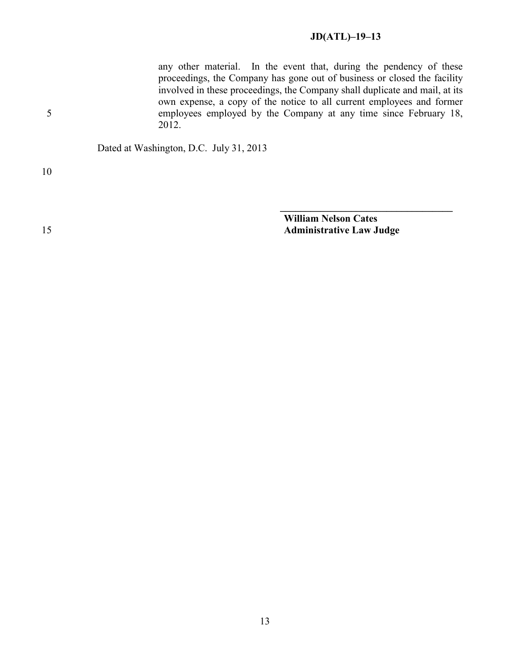any other material. In the event that, during the pendency of these proceedings, the Company has gone out of business or closed the facility involved in these proceedings, the Company shall duplicate and mail, at its own expense, a copy of the notice to all current employees and former 5 employees employed by the Company at any time since February 18, 2012.

Dated at Washington, D.C. July 31, 2013

10

**William Nelson Cates** 15 **Administrative Law Judge**

**\_\_\_\_\_\_\_\_\_\_\_\_\_\_\_\_\_\_\_\_\_\_\_\_\_\_\_\_\_\_\_\_\_\_**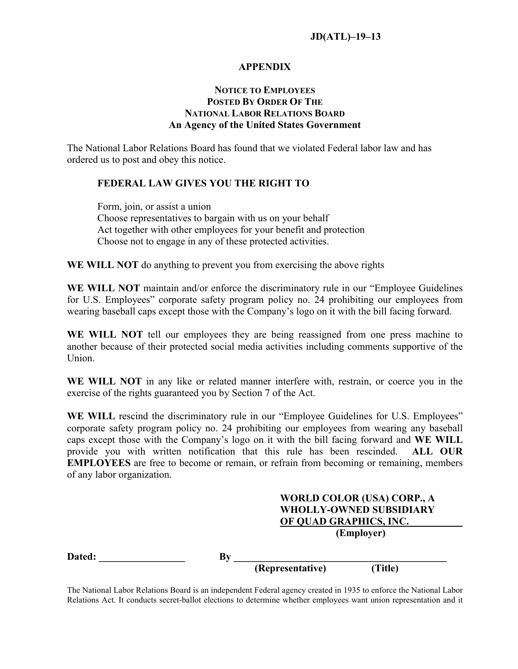#### **APPENDIX**

## **NOTICE TO EMPLOYEES POSTED BY ORDER OF THE NATIONAL LABOR RELATIONS BOARD An Agency of the United States Government**

The National Labor Relations Board has found that we violated Federal labor law and has ordered us to post and obey this notice.

#### **FEDERAL LAW GIVES YOU THE RIGHT TO**

Form, join, or assist a union Choose representatives to bargain with us on your behalf Act together with other employees for your benefit and protection Choose not to engage in any of these protected activities.

**WE WILL NOT** do anything to prevent you from exercising the above rights

**WE WILL NOT** maintain and/or enforce the discriminatory rule in our "Employee Guidelines for U.S. Employees" corporate safety program policy no. 24 prohibiting our employees from wearing baseball caps except those with the Company's logo on it with the bill facing forward.

**WE WILL NOT** tell our employees they are being reassigned from one press machine to another because of their protected social media activities including comments supportive of the Union.

**WE WILL NOT** in any like or related manner interfere with, restrain, or coerce you in the exercise of the rights guaranteed you by Section 7 of the Act.

**WE WILL** rescind the discriminatory rule in our "Employee Guidelines for U.S. Employees" corporate safety program policy no. 24 prohibiting our employees from wearing any baseball caps except those with the Company's logo on it with the bill facing forward and **WE WILL** provide you with written notification that this rule has been rescinded. **ALL OUR EMPLOYEES** are free to become or remain, or refrain from becoming or remaining, members of any labor organization.

# **WORLD COLOR (USA) CORP., A WHOLLY-OWNED SUBSIDIARY OF QUAD GRAPHICS, INC. (Employer) Dated: \_\_\_\_\_\_\_\_\_\_\_\_\_\_\_\_\_ By \_\_\_\_\_\_\_\_\_\_\_\_\_\_\_\_\_\_\_\_\_\_\_\_\_\_\_\_\_\_\_\_\_\_\_\_\_\_\_\_\_\_ (Representative) (Title)**

The National Labor Relations Board is an independent Federal agency created in 1935 to enforce the National Labor Relations Act. It conducts secret-ballot elections to determine whether employees want union representation and it